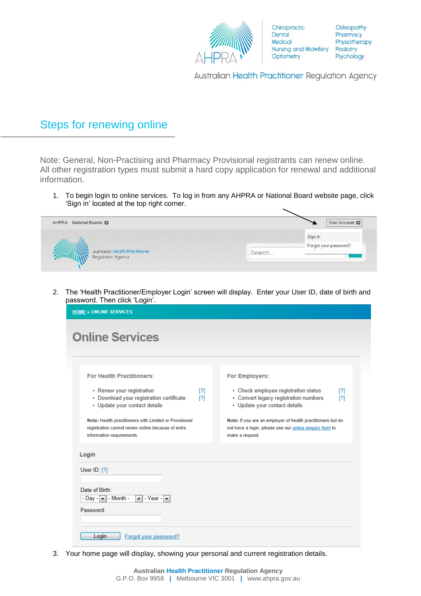

Chiropractic Dental Medical Nursing and Midwifery Podiatry Optometry

Osteopathy Pharmacy Physiotherapy Psychology

Australian Health Practitioner Regulation Agency

## Steps for renewing online

Note: General, Non-Practising and Pharmacy Provisional registrants can renew online. All other registration types must submit a hard copy application for renewal and additional information.

1. To begin login to online services. To log in from any AHPRA or National Board website page, click 'Sign in' located at the top right corner.



2. The 'Health Practitioner/Employer Login' screen will display. Enter your User ID, date of birth and password. Then click 'Login'.

| <b>For Health Practitioners:</b>                                                                                                         | <b>For Employers:</b>                                                                                                                     |
|------------------------------------------------------------------------------------------------------------------------------------------|-------------------------------------------------------------------------------------------------------------------------------------------|
| • Renew your registration<br>[?]<br>• Download your registration certificate<br>[?]<br>• Update your contact details                     | • Check employee registration status<br>[?]<br>• Convert legacy registration numbers<br>[?]<br>• Update your contact details              |
| Note: Health practitioners with Limited or Provisional<br>registration cannot renew online because of extra<br>information requirements. | Note: If you are an employer of health practitioners but do<br>not have a login, please use our online enquiry form to<br>make a request. |
| Login                                                                                                                                    |                                                                                                                                           |
| User $ID: [?]$                                                                                                                           |                                                                                                                                           |
| Date of Birth:<br>- Day - $\mathbf{v}$ - Month -<br>$\blacktriangleright$ - Year - $\blacktriangleright$                                 |                                                                                                                                           |
| Password:                                                                                                                                |                                                                                                                                           |

3. Your home page will display, showing your personal and current registration details.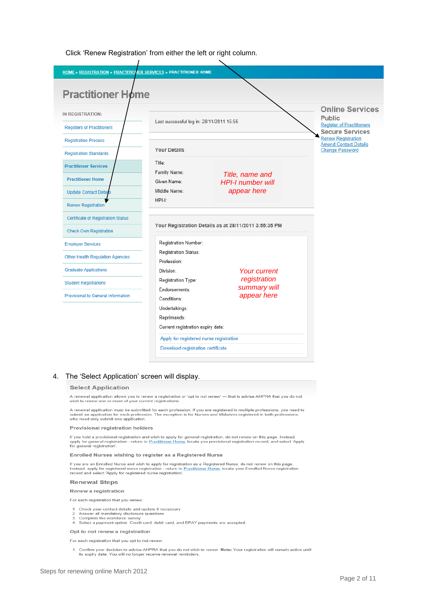Click 'Renew Registration' from either the left or right column.

| <b>HOME » REGISTRATION » PRACTITIONER SERVICES » PRACTITIONER HOME</b>     |                                                                              |                                                       |                                                                                                       |
|----------------------------------------------------------------------------|------------------------------------------------------------------------------|-------------------------------------------------------|-------------------------------------------------------------------------------------------------------|
| <b>Practitioner Home</b>                                                   |                                                                              |                                                       |                                                                                                       |
| IN REGISTRATION:<br><b>Registers of Practitioners</b>                      | Last successful log in: 28/11/2011 15:55                                     |                                                       | <b>Online Services</b><br><b>Public</b><br><b>Register of Practitioners</b><br><b>Secure Services</b> |
| <b>Registration Process</b><br><b>Registration Standards</b>               | <b>Your Details</b>                                                          |                                                       | <b>Renew Registration</b><br><b>Amend Contact Details</b><br><b>Change Password</b>                   |
| <b>Practitioner Services</b>                                               | Title:<br>Family Name:                                                       | Title, name and                                       |                                                                                                       |
| <b>Practitioner Home</b><br><b>Update Contact Details</b>                  | Given Name:<br>Middle Name:                                                  | <b>HPI-I number will</b><br>appear here               |                                                                                                       |
| <b>Renew Registration</b>                                                  | HPI-I:                                                                       |                                                       |                                                                                                       |
| <b>Certificate of Registration Status</b><br><b>Check Own Registration</b> |                                                                              | Your Registration Details as at 28/11/2011 3:55:35 PM |                                                                                                       |
| <b>Employer Services</b>                                                   | <b>Registration Number:</b><br><b>Registration Status:</b>                   |                                                       |                                                                                                       |
| <b>Other Health Regulation Agencies</b>                                    | Profession:                                                                  |                                                       |                                                                                                       |
| <b>Graduate Applications</b><br><b>Student Registrations</b>               | Division:<br><b>Registration Type:</b>                                       | <b>Your current</b><br>registration                   |                                                                                                       |
| <b>Provisional to General Information</b>                                  | Endorsements:<br>Conditions:                                                 | summary will<br>appear here                           |                                                                                                       |
|                                                                            | Undertakings:<br>Reprimands:<br>Current registration expiry date:            |                                                       |                                                                                                       |
|                                                                            | Apply for registered nurse registration<br>Download registration certificate |                                                       |                                                                                                       |

## 4. The 'Select Application' screen will display.

### **Select Application**

A renewal application allows you to renew a registration or 'opt to not renew' — that is advise AHPRA that you do not wish to renew one or more of your current registrations

A renewal application must be submitted for each profession. If you are registered in multiple professions, you need to<br>submit an application for each profession. The exception is for Nurses and Midwives registered in both

#### **Provisional registration holders**

If you hold a provisional registration and wish to apply for general registration, do not renew on this page. Instead,<br>apply for general registration - return to <u>Practitioner Home,</u> locate you provisional registration rec

#### Enrolled Nurses wishing to register as a Registered Nurse

If you are an Enrolled Nurse and wish to apply for registration as a Registered Nurse, do not renew on this page Instead, apply for registered nurse registration - return to Practitioner Home, locate your Enrolled Nurse registration<br>record and select 'Apply for registered nurse registration'.

#### **Renewal Steps**

#### Renew a registration

For each registration that you renew:

- 1. Check your contact details and update if necessary
- 

2. Answer all mandatory disclosure questions<br>
2. Answer all mandatory disclosure questions<br>
3. Complete the workforce survey<br>
4. Select a payment option. Credit card, debit card, and BPAY payments are accepted.

#### Opt to not renew a registration

For each registration that you opt to not renew:

1. Confirm your decision to advise AHPRA that you do not wish to renew. Note: Your registration will remain active until its expiry date. You will no longer receive renewal reminders.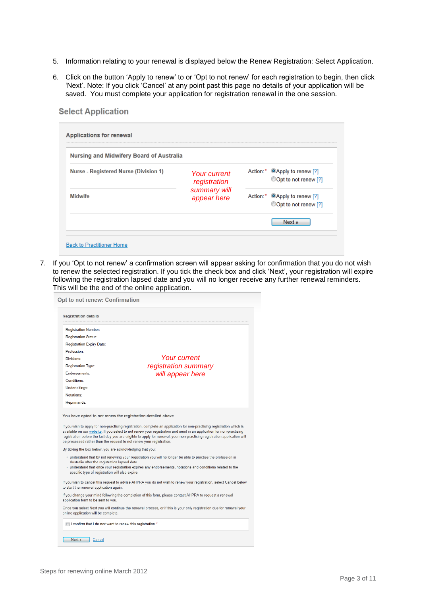- 5. Information relating to your renewal is displayed below the Renew Registration: Select Application.
- 6. Click on the button 'Apply to renew' to or 'Opt to not renew' for each registration to begin, then click 'Next'. Note: If you click 'Cancel' at any point past this page no details of your application will be saved. You must complete your application for registration renewal in the one session.

| Nursing and Midwifery Board of Australia |                              |                                                                   |  |
|------------------------------------------|------------------------------|-------------------------------------------------------------------|--|
| Nurse - Registered Nurse (Division 1)    | Your current<br>registration | Action:* <sup>@</sup> Apply to renew [?]<br>©Opt to not renew [?] |  |
| <b>Midwife</b>                           | summary will<br>appear here  | Action:* OApply to renew [?]<br>Opt to not renew [?]              |  |
|                                          |                              | Next »                                                            |  |

7. If you 'Opt to not renew' a confirmation screen will appear asking for confirmation that you do not wish to renew the selected registration. If you tick the check box and click 'Next', your registration will expire following the registration lapsed date and you will no longer receive any further renewal reminders. This will be the end of the online application.

| <b>Registration details</b>                                                                                                                                                                                                                                                                                                |                                                                                                                                                                                                                                                                                                                                                             |
|----------------------------------------------------------------------------------------------------------------------------------------------------------------------------------------------------------------------------------------------------------------------------------------------------------------------------|-------------------------------------------------------------------------------------------------------------------------------------------------------------------------------------------------------------------------------------------------------------------------------------------------------------------------------------------------------------|
| <b>Registration Number:</b>                                                                                                                                                                                                                                                                                                |                                                                                                                                                                                                                                                                                                                                                             |
| <b>Registration Status:</b>                                                                                                                                                                                                                                                                                                |                                                                                                                                                                                                                                                                                                                                                             |
| Registration Expiry Date:                                                                                                                                                                                                                                                                                                  |                                                                                                                                                                                                                                                                                                                                                             |
| Profession:                                                                                                                                                                                                                                                                                                                |                                                                                                                                                                                                                                                                                                                                                             |
| Divisions:                                                                                                                                                                                                                                                                                                                 | Your current                                                                                                                                                                                                                                                                                                                                                |
| <b>Registration Type:</b>                                                                                                                                                                                                                                                                                                  | registration summary                                                                                                                                                                                                                                                                                                                                        |
| Endorsements:                                                                                                                                                                                                                                                                                                              | will appear here                                                                                                                                                                                                                                                                                                                                            |
| Conditions:                                                                                                                                                                                                                                                                                                                |                                                                                                                                                                                                                                                                                                                                                             |
| Undertakings:                                                                                                                                                                                                                                                                                                              |                                                                                                                                                                                                                                                                                                                                                             |
| Notations:                                                                                                                                                                                                                                                                                                                 |                                                                                                                                                                                                                                                                                                                                                             |
|                                                                                                                                                                                                                                                                                                                            |                                                                                                                                                                                                                                                                                                                                                             |
| Reprimands:                                                                                                                                                                                                                                                                                                                | If you wish to apply for non-practising registration, complete an application for non-practising registration which is<br>available on our website. If you select to not renew your registration and send in an application for non-practising                                                                                                              |
|                                                                                                                                                                                                                                                                                                                            |                                                                                                                                                                                                                                                                                                                                                             |
|                                                                                                                                                                                                                                                                                                                            |                                                                                                                                                                                                                                                                                                                                                             |
| Australia after the registration lapsed date.<br>specific type of registration will also expire.                                                                                                                                                                                                                           | · understand that by not renewing your registration you will no longer be able to practise the profession in<br>• understand that once your registration expires any endorsements, notations and conditions related to the                                                                                                                                  |
|                                                                                                                                                                                                                                                                                                                            |                                                                                                                                                                                                                                                                                                                                                             |
|                                                                                                                                                                                                                                                                                                                            | registration before the last day you are eligible to apply for renewal, your non-practising registration application will<br>If you wish to cancel this request to advise AHPRA you do not wish to renew your registration, select Cancel below<br>If you change your mind following the completion of this form, please contact AHPRA to request a renewal |
| You have opted to not renew the registration detailed above<br>be processed rather than the request to not renew your registration.<br>By ticking the box below, you are acknowledging that you:<br>to start the renewal application again.<br>application form to be sent to you.<br>online application will be complete. | Once you select Next you will continue the renewal process, or if this is your only registration due for renewal your                                                                                                                                                                                                                                       |

**Select Application**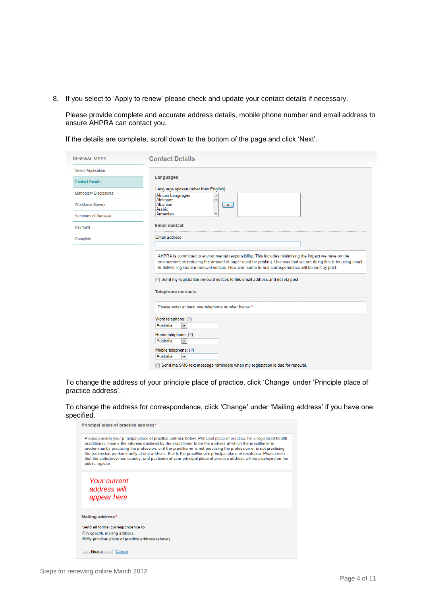8. If you select to 'Apply to renew' please check and update your contact details if necessary.

Please provide complete and accurate address details, mobile phone number and email address to ensure AHPRA can contact you.

If the details are complete, scroll down to the bottom of the page and click 'Next'.

| <b>RENEWAL STEPS</b>         | <b>Contact Details</b>                                                                                                                                                                                                                                                                                                                                                                                                                                                                                                                                     |
|------------------------------|------------------------------------------------------------------------------------------------------------------------------------------------------------------------------------------------------------------------------------------------------------------------------------------------------------------------------------------------------------------------------------------------------------------------------------------------------------------------------------------------------------------------------------------------------------|
| <b>Select Application</b>    |                                                                                                                                                                                                                                                                                                                                                                                                                                                                                                                                                            |
| <b>Contact Details</b>       | Languages                                                                                                                                                                                                                                                                                                                                                                                                                                                                                                                                                  |
| <b>Mandatory Disclosures</b> | Language spoken (other than English):<br><b>African Languages</b><br>$\blacktriangle$                                                                                                                                                                                                                                                                                                                                                                                                                                                                      |
| <b>Workforce Survey</b>      | $\equiv$<br>Afrikaans<br>Albanian<br>$\mathcal{D}$<br>Arabic                                                                                                                                                                                                                                                                                                                                                                                                                                                                                               |
| <b>Summary of Renewal</b>    | Armenian                                                                                                                                                                                                                                                                                                                                                                                                                                                                                                                                                   |
| Payment                      | <b>Email contact</b>                                                                                                                                                                                                                                                                                                                                                                                                                                                                                                                                       |
| Complete                     | Email address:                                                                                                                                                                                                                                                                                                                                                                                                                                                                                                                                             |
|                              | environment by reducing the amount of paper used for printing. One way that we are doing this is by using email<br>to deliver registration renewal notices. However, some formal correspondence will be sent by post.<br>Send my registration renewal notices to this email address and not via post<br><b>Telephone contacts</b><br>Please enter at least one telephone number below.*<br>Work telephone: (?)<br>Australia<br>$\blacktriangledown$<br>Home telephone: (?)<br>Australia<br>$\blacktriangledown$<br>Mobile telephone: (?)<br>Australia<br>۰ |

To change the address of your principle place of practice, click 'Change' under 'Principle place of practice address'.

To change the address for correspondence, click 'Change' under 'Mailing address' if you have one specified.

| public reaister.                                                                      | Please provide your principal place of practice address below. Principal place of practice, for a registered health<br>practitioner, means the address declared by the practitioner to be the address at which the practitioner is<br>predominantly practising the profession; or if the practitioner is not practising the profession or is not practising<br>the profession predominantly at one address, that is the practitioner's principal place of residence. Please note<br>that the state/province, country, and postcode of your principal place of practice address will be displayed on the |
|---------------------------------------------------------------------------------------|---------------------------------------------------------------------------------------------------------------------------------------------------------------------------------------------------------------------------------------------------------------------------------------------------------------------------------------------------------------------------------------------------------------------------------------------------------------------------------------------------------------------------------------------------------------------------------------------------------|
| Your current<br>address will                                                          |                                                                                                                                                                                                                                                                                                                                                                                                                                                                                                                                                                                                         |
| appear here                                                                           |                                                                                                                                                                                                                                                                                                                                                                                                                                                                                                                                                                                                         |
|                                                                                       |                                                                                                                                                                                                                                                                                                                                                                                                                                                                                                                                                                                                         |
|                                                                                       |                                                                                                                                                                                                                                                                                                                                                                                                                                                                                                                                                                                                         |
| Mailing address*<br>Send all formal correspondence to:<br>©A specific mailing address |                                                                                                                                                                                                                                                                                                                                                                                                                                                                                                                                                                                                         |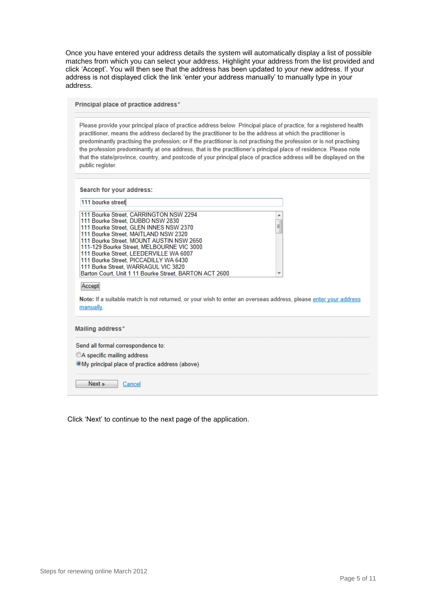Once you have entered your address details the system will automatically display a list of possible matches from which you can select your address. Highlight your address from the list provided and click 'Accept'. You will then see that the address has been updated to your new address. If your address is not displayed click the link 'enter your address manually' to manually type in your address.

Principal place of practice address\*

Please provide your principal place of practice address below. Principal place of practice, for a registered health practitioner, means the address declared by the practitioner to be the address at which the practitioner is predominantly practising the profession; or if the practitioner is not practising the profession or is not practising the profession predominantly at one address, that is the practitioner's principal place of residence. Please note that the state/province, country, and postcode of your principal place of practice address will be displayed on the public register.

Search for your address:

| 111 bourke street                                                                                                                                                                                                                                                                                                                         |        |
|-------------------------------------------------------------------------------------------------------------------------------------------------------------------------------------------------------------------------------------------------------------------------------------------------------------------------------------------|--------|
| 111 Bourke Street, CARRINGTON NSW 2294<br>111 Bourke Street. DUBBO NSW 2830<br>111 Bourke Street. GLEN INNES NSW 2370<br>111 Bourke Street, MAITLAND NSW 2320<br>111 Bourke Street. MOUNT AUSTIN NSW 2650<br>111-129 Bourke Street, MELBOURNE VIC 3000<br>111 Bourke Street, LEEDERVILLE WA 6007<br>111 Bourke Street, PICCADILLY WA 6430 | ▴<br>Ξ |
| 111 Burke Street, WARRAGUL VIC 3820<br>Barton Court, Unit 1 11 Bourke Street, BARTON ACT 2600<br>Accept<br>Note: If a suitable match is not returned, or your wish to enter an overseas address, please enter your address<br>manually.                                                                                                   |        |
|                                                                                                                                                                                                                                                                                                                                           |        |
| Mailing address*<br>Send all formal correspondence to:                                                                                                                                                                                                                                                                                    |        |
| ©A specific mailing address                                                                                                                                                                                                                                                                                                               |        |

Click 'Next' to continue to the next page of the application.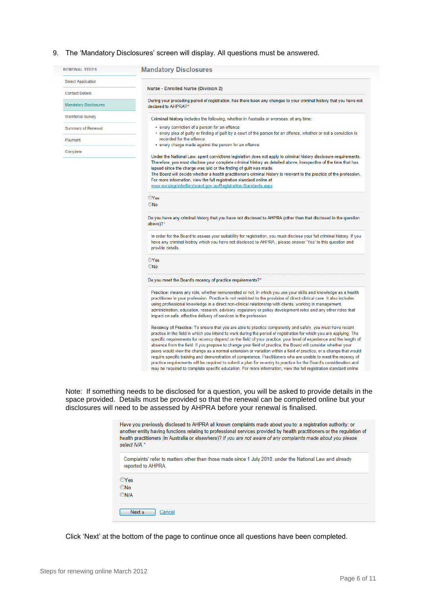## 9. The 'Mandatory Disclosures' screen will display. All questions must be answered.

| <b>RENEWAL STEPS</b>         | <b>Mandatory Disclosures</b>                                                                                                                                                                                                                                                                                                                                                                                                                                                                                                                                                                                                                                                                                                                                                                                                                                                                                                                             |
|------------------------------|----------------------------------------------------------------------------------------------------------------------------------------------------------------------------------------------------------------------------------------------------------------------------------------------------------------------------------------------------------------------------------------------------------------------------------------------------------------------------------------------------------------------------------------------------------------------------------------------------------------------------------------------------------------------------------------------------------------------------------------------------------------------------------------------------------------------------------------------------------------------------------------------------------------------------------------------------------|
| <b>Select Application</b>    |                                                                                                                                                                                                                                                                                                                                                                                                                                                                                                                                                                                                                                                                                                                                                                                                                                                                                                                                                          |
| <b>Contact Details</b>       | <b>Nurse - Enrolled Nurse (Division 2)</b>                                                                                                                                                                                                                                                                                                                                                                                                                                                                                                                                                                                                                                                                                                                                                                                                                                                                                                               |
| <b>Mandatory Disclosures</b> | During your preceding period of registration, has there been any changes to your criminal history that you have not<br>declared to AHPRA?*                                                                                                                                                                                                                                                                                                                                                                                                                                                                                                                                                                                                                                                                                                                                                                                                               |
| <b>Workforce Survey</b>      | Criminal history includes the following, whether in Australia or overseas, at any time:                                                                                                                                                                                                                                                                                                                                                                                                                                                                                                                                                                                                                                                                                                                                                                                                                                                                  |
| <b>Summary of Renewal</b>    | • every conviction of a person for an offence                                                                                                                                                                                                                                                                                                                                                                                                                                                                                                                                                                                                                                                                                                                                                                                                                                                                                                            |
| Payment                      | • every plea of guilty or finding of guilt by a court of the person for an offence, whether or not a conviction is<br>recorded for the offence                                                                                                                                                                                                                                                                                                                                                                                                                                                                                                                                                                                                                                                                                                                                                                                                           |
| Complete                     | • every charge made against the person for an offence.                                                                                                                                                                                                                                                                                                                                                                                                                                                                                                                                                                                                                                                                                                                                                                                                                                                                                                   |
|                              | Under the National Law, spent convictions legislation does not apply to criminal history disclosure requirements.<br>Therefore, you must disclose your complete criminal history as detailed above, irrespective of the time that has<br>lapsed since the charge was laid or the finding of guilt was made.<br>The Board will decide whether a health practitioner's criminal history is relevant to the practice of the profession.                                                                                                                                                                                                                                                                                                                                                                                                                                                                                                                     |
|                              | For more information, view the full registration standard online at                                                                                                                                                                                                                                                                                                                                                                                                                                                                                                                                                                                                                                                                                                                                                                                                                                                                                      |
|                              | www.nursingmidwiferyboard.gov.au/Registration-Standards.aspx                                                                                                                                                                                                                                                                                                                                                                                                                                                                                                                                                                                                                                                                                                                                                                                                                                                                                             |
|                              | $•$ No<br>Do you have any criminal history that you have not disclosed to AHPRA (other than that disclosed in the question<br>above)?*                                                                                                                                                                                                                                                                                                                                                                                                                                                                                                                                                                                                                                                                                                                                                                                                                   |
|                              | In order for the Board to assess your suitability for registration, you must disclose your full criminal history. If you<br>have any criminal histroy which you have not disclosed to AHPRA, please answer 'Yes' to this question and<br>provide details.                                                                                                                                                                                                                                                                                                                                                                                                                                                                                                                                                                                                                                                                                                |
|                              | <b>OYes</b><br>ONo                                                                                                                                                                                                                                                                                                                                                                                                                                                                                                                                                                                                                                                                                                                                                                                                                                                                                                                                       |
|                              | Do you meet the Board's recency of practice requirements?*                                                                                                                                                                                                                                                                                                                                                                                                                                                                                                                                                                                                                                                                                                                                                                                                                                                                                               |
|                              | Practice: means any role, whether remunerated or not, in which you use your skills and knowledge as a health<br>practitioner in your profession. Practice is not restricted to the provision of direct clinical care. It also includes<br>using professional knowledge in a direct non-clinical relationship with clients, working in management,<br>administration, education, research, advisory, regulatory or policy development roles and any other roles that<br>impact on safe, effective delivery of services in the profession.                                                                                                                                                                                                                                                                                                                                                                                                                 |
|                              | Recency of Practice: To ensure that you are able to practice competently and safely, you must have recent<br>practice in the field in which you intend to work during the period of registration for which you are applying. The<br>specific requirements for recency depend on the field of your practice, your level of experience and the length of<br>absence from the field. If you propose to change your field of practice, the Board will consider whether your<br>peers would view the change as a normal extension or variation within a field of practice, or a change that would<br>require specific training and demonstration of competence. Practitioners who are unable to meet the recency of<br>practice requirements will be required to submit a plan for re-entry to practice for the Board's consideration and<br>may be required to complete specific education. For more information, view the full registration standard online |

Note: If something needs to be disclosed for a question, you will be asked to provide details in the space provided. Details must be provided so that the renewal can be completed online but your disclosures will need to be assessed by AHPRA before your renewal is finalised.

| Have you previously disclosed to AHPRA all known complaints made about you to: a registration authority; or<br>another entity having functions relating to professional services provided by health practitioners or the regulation of<br>health practitioners (in Australia or elsewhere)? If you are not aware of any complaints made about you please<br>select N/A.* |
|--------------------------------------------------------------------------------------------------------------------------------------------------------------------------------------------------------------------------------------------------------------------------------------------------------------------------------------------------------------------------|
| Complaints' refer to matters other than those made since 1 July 2010, under the National Law and already<br>reported to AHPRA.                                                                                                                                                                                                                                           |
| <b>OYes</b>                                                                                                                                                                                                                                                                                                                                                              |
| <b>ONo</b>                                                                                                                                                                                                                                                                                                                                                               |
| ON/A                                                                                                                                                                                                                                                                                                                                                                     |
| Next »<br>Cancel                                                                                                                                                                                                                                                                                                                                                         |

Click 'Next' at the bottom of the page to continue once all questions have been completed.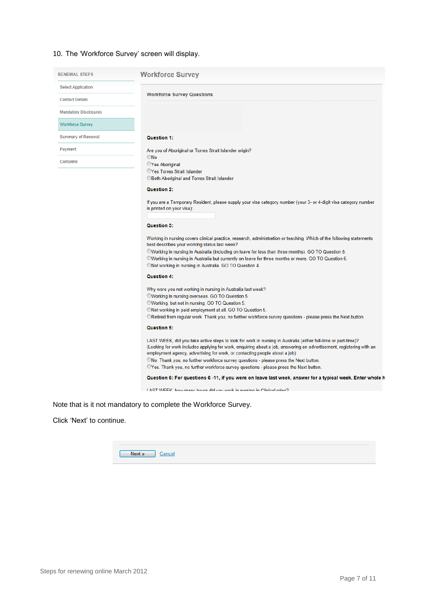## 10. The 'Workforce Survey' screen will display.

| <b>RENEWAL STEPS</b>         | <b>Workforce Survey</b>                                               |
|------------------------------|-----------------------------------------------------------------------|
| <b>Select Application</b>    |                                                                       |
| <b>Contact Details</b>       | <b>Workforce Survey Questions</b>                                     |
| <b>Mandatory Disclosures</b> |                                                                       |
| <b>Workforce Survey</b>      |                                                                       |
| <b>Summary of Renewal</b>    | <b>Question 1:</b>                                                    |
| Payment                      | Are you of Aboriginal or Torres Strait Islander origin?               |
| Complete                     | $•$ No<br><b>Yes Aboriginal</b><br><b>OYes Torres Strait Islander</b> |

©Both Aboriginal and Torres Strait Islander

## Question 2:

If you are a Temporary Resident, please supply your visa category number (your 3- or 4-digit visa category number is printed on your visa):

## Question 3:

Working in nursing covers clinical practice, research, administration or teaching. Which of the following statements best describes your working status last week?

©Working in nursing in Australia (including on leave for less than three months). GO TO Question 6. ©Working in nursing in Australia but currently on leave for three months or more. GO TO Question 6. ©Not working in nursing in Australia. GO TO Question 4.

## Question 4:

Why were you not working in nursing in Australia last week?

©Working in nursing overseas. GO TO Question 5.

©Working, but not in nursing. GO TO Question 5.

©Not working in paid employment at all. GO TO Question 5.

©Retired from regular work. Thank you, no further workforce survey questions - please press the Next button.

## Question 5:

LAST WEEK, did you take active steps to look for work in nursing in Australia (either full-time or part-time)? (Looking for work includes applying for work, enquiring about a job, answering an advertisement, registering with an employment agency, advertising for work, or contacting people about a job) ©No. Thank you, no further workforce survey questions - please press the Next button. CYes. Thank you, no further workforce survey questions - please press the Next button.

Question 6: For questions 6 -11, if you were on leave last week, answer for a typical week. Enter whole h

I ART WEEK how many hours did you work in nursing in Clinical roles?

Note that is it not mandatory to complete the Workforce Survey.

Click 'Next' to continue.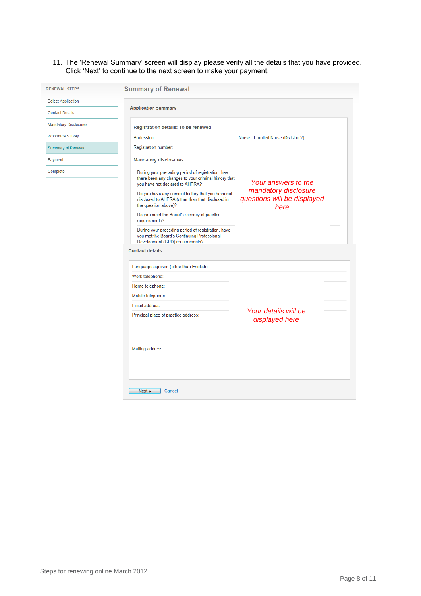## 11. The 'Renewal Summary' screen will display please verify all the details that you have provided. Click 'Next' to continue to the next screen to make your payment.

| <b>RENEWAL STEPS</b>         | <b>Summary of Renewal</b>                                                                                                                    |                                                             |
|------------------------------|----------------------------------------------------------------------------------------------------------------------------------------------|-------------------------------------------------------------|
| <b>Select Application</b>    | <b>Application summary</b>                                                                                                                   |                                                             |
| <b>Contact Details</b>       |                                                                                                                                              |                                                             |
| <b>Mandatory Disclosures</b> | <b>Registration details: To be renewed</b>                                                                                                   |                                                             |
| <b>Workforce Survey</b>      | Profession:                                                                                                                                  | Nurse - Enrolled Nurse (Division 2)                         |
| <b>Summary of Renewal</b>    | Registration number:                                                                                                                         |                                                             |
| Payment                      | <b>Mandatory disclosures</b>                                                                                                                 |                                                             |
| Complete                     | During your preceding period of registration, has<br>there been any changes to your criminal history that<br>vou have not declared to AHPRA? | Your answers to the                                         |
|                              | Do you have any criminal history that you have not<br>disclosed to AHPRA (other than that disclosed in<br>the question above)?               | mandatory disclosure<br>questions will be displayed<br>here |
|                              | Do you meet the Board's recency of practice<br>requirements?                                                                                 |                                                             |
|                              | During your preceding period of registration, have<br>you met the Board's Continuing Professional<br>Development (CPD) requirements?         |                                                             |
|                              | <b>Contact details</b>                                                                                                                       |                                                             |
|                              |                                                                                                                                              |                                                             |
|                              | Languages spoken (other than English):                                                                                                       |                                                             |
|                              | Work telephone:                                                                                                                              |                                                             |
|                              | Home telephone:                                                                                                                              |                                                             |
|                              | Mobile telephone:                                                                                                                            |                                                             |
|                              | Email address:                                                                                                                               |                                                             |
|                              | Principal place of practice address:                                                                                                         | Your details will be<br>displayed here                      |
|                              | Mailing address:                                                                                                                             |                                                             |
|                              | Next »<br>Cancel                                                                                                                             |                                                             |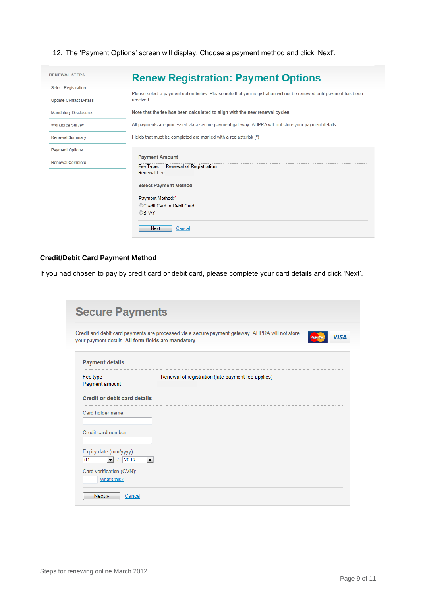12. The 'Payment Options' screen will display. Choose a payment method and click 'Next'.

| <b>RENEWAL STEPS</b>                                                                                                                             | <b>Renew Registration: Payment Options</b>                                                                                                                                                                                                                                                                                                                                                 |
|--------------------------------------------------------------------------------------------------------------------------------------------------|--------------------------------------------------------------------------------------------------------------------------------------------------------------------------------------------------------------------------------------------------------------------------------------------------------------------------------------------------------------------------------------------|
| <b>Select Registration</b><br><b>Update Contact Details</b><br><b>Mandatory Disclosures</b><br><b>Workforce Survey</b><br><b>Renewal Summary</b> | Please select a payment option below. Please note that your registration will not be renewed until payment has been<br>received.<br>Note that the fee has been calculated to align with the new renewal cycles.<br>All payments are processed via a secure payment gateway. AHPRA will not store your payment details.<br>Fields that must be completed are marked with a red asterisk (*) |
| <b>Payment Options</b><br><b>Renewal Complete</b>                                                                                                | <b>Payment Amount</b><br><b>Renewal of Registration</b><br>Fee Type:<br>Renewal Fee:<br><b>Select Payment Method</b><br>Payment Method:*<br>Credit Card or Debit Card<br><b>OBPAY</b>                                                                                                                                                                                                      |
|                                                                                                                                                  | Next<br>Cancel                                                                                                                                                                                                                                                                                                                                                                             |

## **Credit/Debit Card Payment Method**

If you had chosen to pay by credit card or debit card, please complete your card details and click 'Next'.

| your payment details. All form fields are mandatory.                                 | Credit and debit card payments are processed via a secure payment gateway. AHPRA will not store<br><b>MasterCard</b> | <b>VISA</b> |
|--------------------------------------------------------------------------------------|----------------------------------------------------------------------------------------------------------------------|-------------|
| <b>Payment details</b>                                                               |                                                                                                                      |             |
| Fee type<br>Payment amount                                                           | Renewal of registration (late payment fee applies)                                                                   |             |
| <b>Credit or debit card details</b>                                                  |                                                                                                                      |             |
| Card holder name:                                                                    |                                                                                                                      |             |
| Credit card number:                                                                  |                                                                                                                      |             |
| Expiry date (mm/yyyy):<br>01<br>2012<br>$\blacktriangledown$<br>$\blacktriangledown$ |                                                                                                                      |             |
| Card verification (CVN):                                                             |                                                                                                                      |             |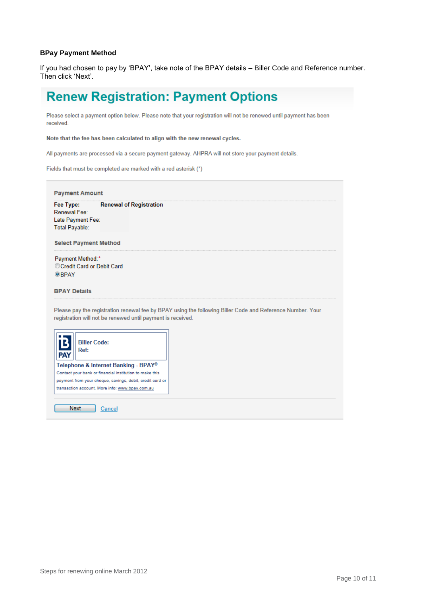## **BPay Payment Method**

If you had chosen to pay by 'BPAY', take note of the BPAY details – Biller Code and Reference number. Then click 'Next'.

# **Renew Registration: Payment Options**

Please select a payment option below. Please note that your registration will not be renewed until payment has been received.

Note that the fee has been calculated to align with the new renewal cycles.

All payments are processed via a secure payment gateway. AHPRA will not store your payment details.

Fields that must be completed are marked with a red asterisk (\*)

| <b>Select Payment Method</b><br>Payment Method:*<br>Credit Card or Debit Card                                                                                             |  |
|---------------------------------------------------------------------------------------------------------------------------------------------------------------------------|--|
|                                                                                                                                                                           |  |
| <b>OBPAY</b>                                                                                                                                                              |  |
| <b>BPAY Details</b>                                                                                                                                                       |  |
| Please pay the registration renewal fee by BPAY using the following Biller Code and Reference Number. Your<br>registration will not be renewed until payment is received. |  |
| <b>Biller Code:</b><br>Ref:                                                                                                                                               |  |
|                                                                                                                                                                           |  |
| Telephone & Internet Banking - BPAY®<br>Contact your bank or financial institution to make this<br>payment from your cheque, savings, debit, credit card or               |  |